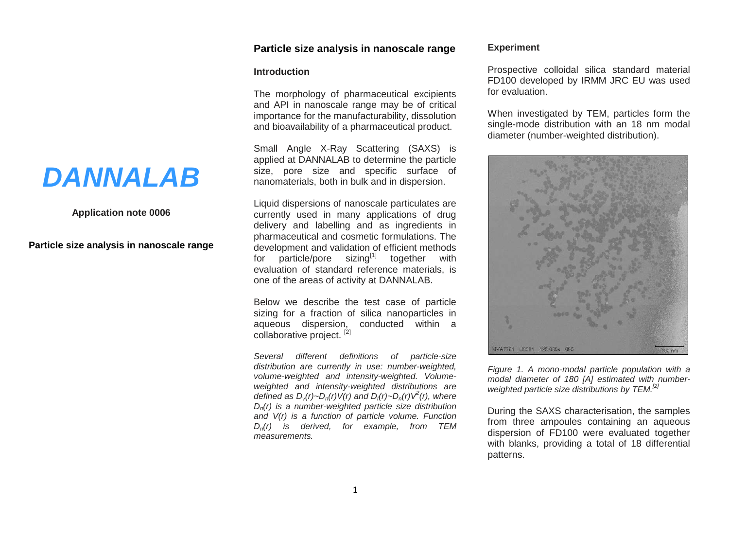# **Particle size analysis in nanoscale range**

### **Introduction**

The morphology of pharmaceutical excipients and API in nanoscale range may be of critical importance for the manufacturability, dissolution and bioavailability of a pharmaceutical product.

Small Angle X-Ray Scattering (SAXS) is applied at DANNALAB to determine the particle size, pore size and specific surface of nanomaterials, both in bulk and in dispersion.

Liquid dispersions of nanoscale particulates are currently used in many applications of drug delivery and labelling and as ingredients in pharmaceutical and cosmetic formulations. The development and validation of efficient methods for particle/pore sizing $[1]$  together with evaluation of standard reference materials, is one of the areas of activity at DANNALAB.

Below we describe the test case of particle sizing for a fraction of silica nanoparticles in aqueous dispersion, conducted within a collaborative project. [2]

*Several different definitions of particle-size distribution are currently in use: number-weighted, volume-weighted and intensity-weighted. Volumeweighted and intensity-weighted distributions are defined as Dv(r)~Dn(r)V(r) and DI(r)~Dn(r)V<sup>2</sup> (r), where Dn(r) is a number-weighted particle size distribution and V(r) is a function of particle volume. Function Dn(r) is derived, for example, from TEM measurements.*

### **Experiment**

Prospective colloidal silica standard material FD100 developed by IRMM JRC EU was used for evaluation.

When investigated by TEM, particles form the single-mode distribution with an 18 nm modal diameter (number-weighted distribution).



*Figure 1. A mono-modal particle population with a modal diameter of 180 [A] estimated with numberweighted particle size distributions by TEM.[2]*

During the SAXS characterisation, the samples from three ampoules containing an aqueous dispersion of FD100 were evaluated together with blanks, providing a total of 18 differential patterns.

# *DANNALAB*

# **Application note 0006**

**Particle size analysis in nanoscale range**